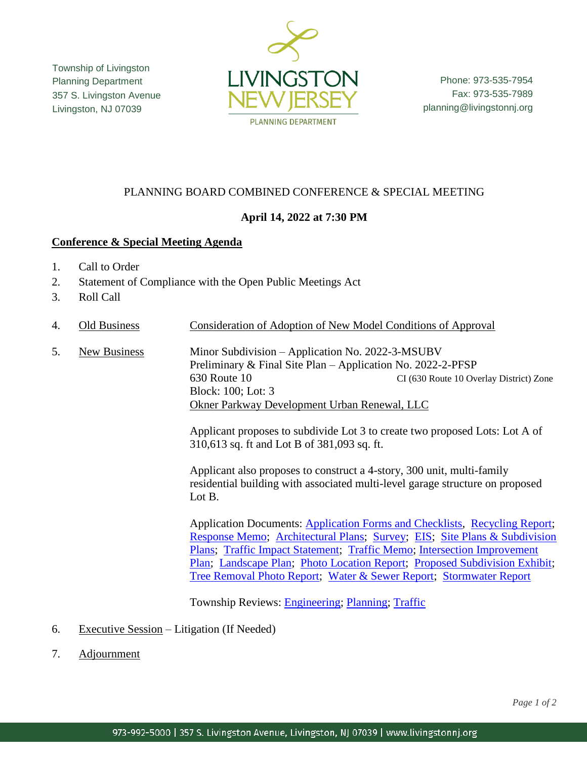Township of Livingston Planning Department 357 S. Livingston Avenue Livingston, NJ 07039



Phone: 973-535-7954 Fax: 973-535-7989 planning@livingstonnj.org

# PLANNING BOARD COMBINED CONFERENCE & SPECIAL MEETING

# **April 14, 2022 at 7:30 PM**

### **Conference & Special Meeting Agenda**

- 1. Call to Order
- 2. Statement of Compliance with the Open Public Meetings Act
- 3. Roll Call
- 4. Old Business Consideration of Adoption of New Model Conditions of Approval
- 5. New Business Minor Subdivision Application No. 2022-3-MSUBV Preliminary & Final Site Plan – Application No. 2022-2-PFSP 630 Route 10 CI (630 Route 10 Overlay District) Zone Block: 100; Lot: 3 Okner Parkway Development Urban Renewal, LLC

Applicant proposes to subdivide Lot 3 to create two proposed Lots: Lot A of 310,613 sq. ft and Lot B of 381,093 sq. ft.

Applicant also proposes to construct a 4-story, 300 unit, multi-family residential building with associated multi-level garage structure on proposed Lot B.

Application Documents: [Application Forms and Checklists,](https://www.livingstonnj.org/DocumentCenter/View/13712/Okner_630-Rt-10---Application-Forms-and-Checklists) [Recycling Report;](https://www.livingstonnj.org/DocumentCenter/View/13704/Okner_630-Rt-10---Recycling-Report) [Response Memo;](https://www.livingstonnj.org/DocumentCenter/View/13705/Okner_630-Rt-10---Response-Memo-03-31-2022) [Architectural Plans;](https://www.livingstonnj.org/DocumentCenter/View/13695/Okner_630-Rt-10---Architectural-Plans-04-01-2022) [Survey;](https://www.livingstonnj.org/DocumentCenter/View/13707/Okner_630-Rt-10---Survey-2020-03-27) [EIS;](https://www.livingstonnj.org/DocumentCenter/View/13696/Okner_630-Rt-10---EIS) Site Plans [& Subdivision](https://www.livingstonnj.org/DocumentCenter/View/13706/Okner_630-Rt-10---Site-Plans_Minor-Subdivision-04-01-2022)  [Plans;](https://www.livingstonnj.org/DocumentCenter/View/13706/Okner_630-Rt-10---Site-Plans_Minor-Subdivision-04-01-2022) Traffic [Impact Statement;](https://www.livingstonnj.org/DocumentCenter/View/13708/Okner_630-Rt-10---Traffic-Impact-Statement-04-01-2022) [Traffic Memo;](https://www.livingstonnj.org/DocumentCenter/View/13709/Okner_630-Rt-10---Traffic-Memo---2021-08-11) [Intersection Improvement](https://www.livingstonnj.org/DocumentCenter/View/13698/Okner_630-Rt-10---Intersection-Improvement-Plans-2021-09-20)  [Plan;](https://www.livingstonnj.org/DocumentCenter/View/13698/Okner_630-Rt-10---Intersection-Improvement-Plans-2021-09-20) [Landscape Plan;](https://www.livingstonnj.org/DocumentCenter/View/13699/Okner_630-Rt-10---Landscape-Plan-04-01-2022) [Photo Location Report;](https://www.livingstonnj.org/DocumentCenter/View/13701/Okner_630-Rt-10---Photolocation-Report-04-01-2022) [Proposed Subdivision Exhibit;](https://www.livingstonnj.org/DocumentCenter/View/13703/Okner_630-Rt-10---Proposed-Subdivision-Exhibit-24x36-Prop-Subdiv) [Tree Removal Photo Report;](https://www.livingstonnj.org/DocumentCenter/View/13710/Okner_630-Rt-10---Tree-Removal-Photo-Report-04-01-2022) [Water & Sewer Report;](https://www.livingstonnj.org/DocumentCenter/View/13711/Okner_630-Rt-10---Water-Sewer-Report---Signed-04-01-2022) [Stormwater Report](https://www.livingstonnj.org/DocumentCenter/View/13718/Okner_630-Rt-10---SWM-Report---Signed-04-01-2022)

Township Reviews: [Engineering;](https://www.livingstonnj.org/DocumentCenter/View/13690/Okner_630-Rt-10---Engineering-Review-02-14-2022) [Planning;](https://www.livingstonnj.org/DocumentCenter/View/13691/Okner_630-Rt-10---Planning-Review---02-21-2022) [Traffic](https://www.livingstonnj.org/DocumentCenter/View/13692/Okner_630-Rt-10---Traffic-Review-02-18-2022)

### 6. Executive Session – Litigation (If Needed)

7. Adjournment